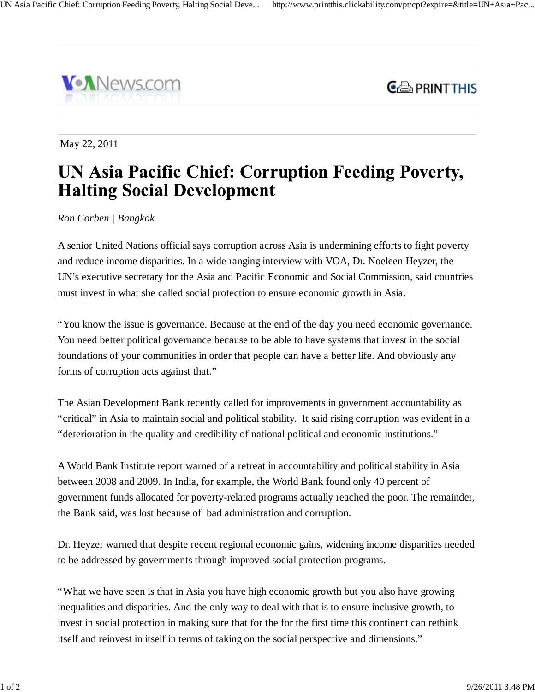



May 22, 2011

## **UN Asia Pacific Chief: Corruption Feeding Poverty, Halting Social Development**

*Ron Corben | Bangkok*

A senior United Nations official says corruption across Asia is undermining efforts to fight poverty and reduce income disparities. In a wide ranging interview with VOA, Dr. Noeleen Heyzer, the UN's executive secretary for the Asia and Pacific Economic and Social Commission, said countries must invest in what she called social protection to ensure economic growth in Asia.

"You know the issue is governance. Because at the end of the day you need economic governance. You need better political governance because to be able to have systems that invest in the social foundations of your communities in order that people can have a better life. And obviously any forms of corruption acts against that."

The Asian Development Bank recently called for improvements in government accountability as "critical" in Asia to maintain social and political stability. It said rising corruption was evident in a "deterioration in the quality and credibility of national political and economic institutions."

A World Bank Institute report warned of a retreat in accountability and political stability in Asia between 2008 and 2009. In India, for example, the World Bank found only 40 percent of government funds allocated for poverty-related programs actually reached the poor. The remainder, the Bank said, was lost because of bad administration and corruption.

Dr. Heyzer warned that despite recent regional economic gains, widening income disparities needed to be addressed by governments through improved social protection programs.

"What we have seen is that in Asia you have high economic growth but you also have growing inequalities and disparities. And the only way to deal with that is to ensure inclusive growth, to invest in social protection in making sure that for the for the first time this continent can rethink itself and reinvest in itself in terms of taking on the social perspective and dimensions."